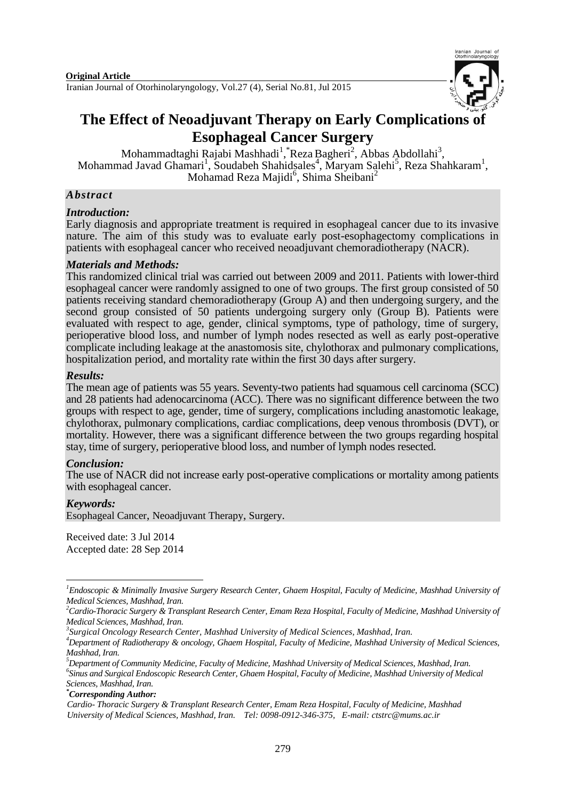Iranian Journal of Otorhinolaryngology, Vol.27 (4), Serial No.81, Jul 2015



# **The Effect of Neoadjuvant Therapy on Early Complications of Esophageal Cancer Surgery**

Mohammadtaghi Rajabi Mashhadi<sup>1</sup>, \*Reza Bagheri<sup>2</sup>, Abbas Abdollahi<sup>3</sup>, Mohammad Javad Ghamari<sup>1</sup>, Soudabeh Shahidsales<sup>4</sup>, Maryam Salehi<sup>5</sup>, Reza Shahkaram<sup>1</sup>, Mohamad Reza Majidi<sup>6</sup>, Shima Sheibani<sup>2</sup>

### *Abstract*

### *Introduction:*

Early diagnosis and appropriate treatment is required in esophageal cancer due to its invasive nature. The aim of this study was to evaluate early post-esophagectomy complications in patients with esophageal cancer who received neoadjuvant chemoradiotherapy (NACR).

#### *Materials and Methods:*

This randomized clinical trial was carried out between 2009 and 2011. Patients with lower-third esophageal cancer were randomly assigned to one of two groups. The first group consisted of 50 patients receiving standard chemoradiotherapy (Group A) and then undergoing surgery, and the second group consisted of 50 patients undergoing surgery only (Group B). Patients were evaluated with respect to age, gender, clinical symptoms, type of pathology, time of surgery, perioperative blood loss, and number of lymph nodes resected as well as early post-operative complicate including leakage at the anastomosis site, chylothorax and pulmonary complications, hospitalization period, and mortality rate within the first 30 days after surgery.

#### *Results:*

The mean age of patients was 55 years. Seventy-two patients had squamous cell carcinoma (SCC) and 28 patients had adenocarcinoma (ACC). There was no significant difference between the two groups with respect to age, gender, time of surgery, complications including anastomotic leakage, chylothorax, pulmonary complications, cardiac complications, deep venous thrombosis (DVT), or mortality. However, there was a significant difference between the two groups regarding hospital stay, time of surgery, perioperative blood loss, and number of lymph nodes resected.

### *Conclusion:*

The use of NACR did not increase early post-operative complications or mortality among patients with esophageal cancer.

### *Keywords:*

-

[Esophageal Cancer](http://www.nlm.nih.gov/cgi/mesh/2015/MB_cgi?mode=&index=4723&field=all&HM=&II=&PA=&form=&input=), [Neoadjuvant Therapy](http://www.nlm.nih.gov/cgi/mesh/2015/MB_cgi?mode=&index=18807&field=all&HM=&II=&PA=&form=&input=), [Surgery](http://www.nlm.nih.gov/cgi/mesh/2015/MB_cgi?mode=&index=12922&field=all&HM=&II=&PA=&form=&input=).

Received date: 3 Jul 2014 Accepted date: 28 Sep 2014

*\*Corresponding Author:*

<sup>&</sup>lt;sup>1</sup> Endoscopic & Minimally Invasive Surgery Research Center, Ghaem Hospital, Faculty of Medicine, Mashhad University of *Medical Sciences, Mashhad, Iran.*

*<sup>2</sup>Cardio-Thoracic Surgery & Transplant Research Center, Emam Reza Hospital, Faculty of Medicine, Mashhad University of Medical Sciences, Mashhad, Iran.*

*<sup>3</sup> Surgical Oncology Research Center, Mashhad University of Medical Sciences, Mashhad, Iran.*

*<sup>4</sup>Department of Radiotherapy & oncology, Ghaem Hospital, Faculty of Medicine, Mashhad University of Medical Sciences, Mashhad, Iran.*

*<sup>5</sup>Department of Community Medicine, Faculty of Medicine, Mashhad University of Medical Sciences, Mashhad, Iran. 6 Sinus and Surgical Endoscopic Research Center, Ghaem Hospital, Faculty of Medicine, Mashhad University of Medical Sciences, Mashhad, Iran.*

*Cardio- Thoracic Surgery & Transplant Research Center, Emam Reza Hospital, Faculty of Medicine, Mashhad University of Medical Sciences, Mashhad, Iran. Tel: 0098-0912-346-375, E-mail: [ctstrc@mums.ac.ir](mailto:Bagherir@mums.ac.ir)*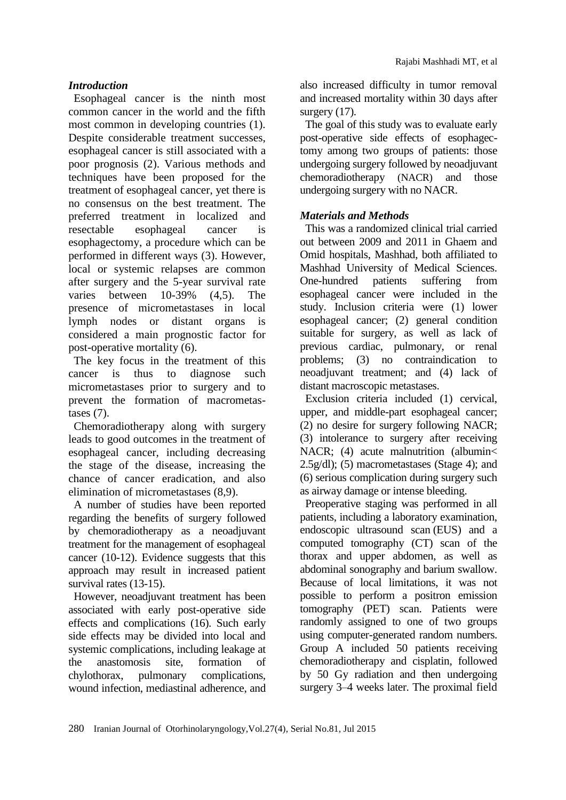# *Introduction*

Esophageal cancer is the ninth most common cancer in the world and the fifth most common in developing countries (1). Despite considerable treatment successes, esophageal cancer is still associated with a poor prognosis (2). Various methods and techniques have been proposed for the treatment of esophageal cancer, yet there is no consensus on the best treatment. The preferred treatment in localized and resectable esophageal cancer is esophagectomy, a procedure which can be performed in different ways (3). However, local or systemic relapses are common after surgery and the 5-year survival rate varies between 10-39% (4,5). The presence of micrometastases in local lymph nodes or distant organs is considered a main prognostic factor for post-operative mortality (6).

The key focus in the treatment of this cancer is thus to diagnose such micrometastases prior to surgery and to prevent the formation of macrometastases (7).

Chemoradiotherapy along with surgery leads to good outcomes in the treatment of esophageal cancer, including decreasing the stage of the disease, increasing the chance of cancer eradication, and also elimination of micrometastases (8,9).

A number of studies have been reported regarding the benefits of surgery followed by chemoradiotherapy as a neoadjuvant treatment for the management of esophageal cancer (10-12). Evidence suggests that this approach may result in increased patient survival rates (13-15).

However, neoadjuvant treatment has been associated with early post-operative side effects and complications (16). Such early side effects may be divided into local and systemic complications, including leakage at the anastomosis site, formation of chylothorax, pulmonary complications, wound infection, mediastinal adherence, and also increased difficulty in tumor removal and increased mortality within 30 days after surgery  $(17)$ .

The goal of this study was to evaluate early post-operative side effects of esophagectomy among two groups of patients: those undergoing surgery followed by neoadjuvant chemoradiotherapy (NACR) and those undergoing surgery with no NACR.

## *Materials and Methods*

This was a randomized clinical trial carried out between 2009 and 2011 in Ghaem and Omid hospitals, Mashhad, both affiliated to Mashhad University of Medical Sciences. One-hundred patients suffering from esophageal cancer were included in the study. Inclusion criteria were (1) lower esophageal cancer; (2) general condition suitable for surgery, as well as lack of previous cardiac, pulmonary, or renal problems; (3) no contraindication to neoadjuvant treatment; and (4) lack of distant macroscopic metastases.

Exclusion criteria included (1) cervical, upper, and middle-part esophageal cancer; (2) no desire for surgery following NACR; (3) intolerance to surgery after receiving NACR; (4) acute malnutrition (albumin< 2.5g/dl); (5) macrometastases (Stage 4); and (6) serious complication during surgery such as airway damage or intense bleeding.

Preoperative staging was performed in all patients, including a laboratory examination, endoscopic ultrasound scan (EUS) and a computed tomography (CT) scan of the thorax and upper abdomen, as well as abdominal sonography and barium swallow. Because of local limitations, it was not possible to perform a positron emission tomography (PET) scan. Patients were randomly assigned to one of two groups using computer-generated random numbers. Group A included 50 patients receiving chemoradiotherapy and cisplatin, followed by 50 Gy radiation and then undergoing surgery 3–4 weeks later. The proximal field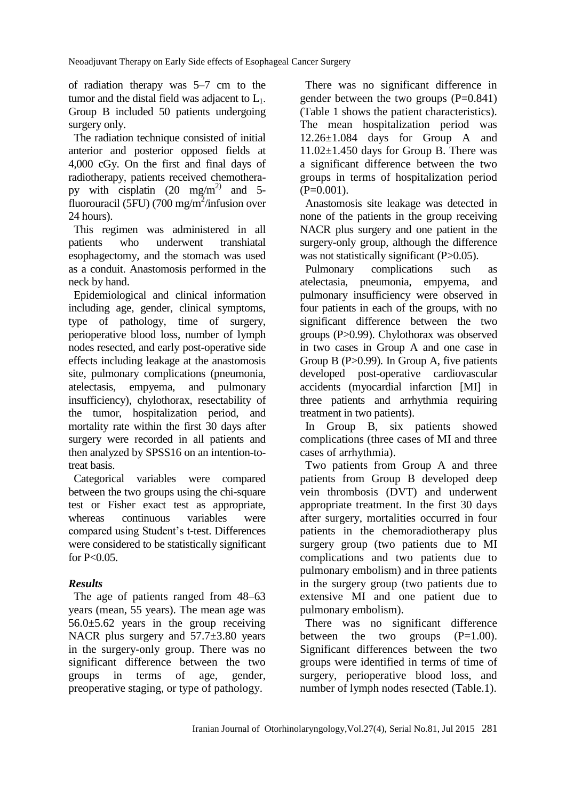of radiation therapy was 5–7 cm to the tumor and the distal field was adjacent to  $L_1$ . Group B included 50 patients undergoing surgery only.

The radiation technique consisted of initial anterior and posterior opposed fields at 4,000 cGy. On the first and final days of radiotherapy, patients received chemotherapy with cisplatin  $(20 \text{ mg/m}^2)$  and 5fluorouracil (5FU) (700 mg/m<sup>2</sup>/infusion over 24 hours).

This regimen was administered in all patients who underwent transhiatal esophagectomy, and the stomach was used as a conduit. Anastomosis performed in the neck by hand.

Epidemiological and clinical information including age, gender, clinical symptoms, type of pathology, time of surgery, perioperative blood loss, number of lymph nodes resected, and early post-operative side effects including leakage at the anastomosis site, pulmonary complications (pneumonia, atelectasis, empyema, and pulmonary insufficiency), chylothorax, resectability of the tumor, hospitalization period, and mortality rate within the first 30 days after surgery were recorded in all patients and then analyzed by SPSS16 on an intention-totreat basis.

Categorical variables were compared between the two groups using the chi-square test or Fisher exact test as appropriate, whereas continuous variables were compared using Student's t-test. Differences were considered to be statistically significant for  $P < 0.05$ .

### *Results*

The age of patients ranged from 48–63 years (mean, 55 years). The mean age was 56.0±5.62 years in the group receiving NACR plus surgery and 57.7±3.80 years in the surgery-only group. There was no significant difference between the two groups in terms of age, gender, preoperative staging, or type of pathology.

There was no significant difference in gender between the two groups  $(P=0.841)$ (Table 1 shows the patient characteristics). The mean hospitalization period was 12.26±1.084 days for Group A and 11.02±1.450 days for Group B. There was a significant difference between the two groups in terms of hospitalization period  $(P=0.001)$ .

Anastomosis site leakage was detected in none of the patients in the group receiving NACR plus surgery and one patient in the surgery-only group, although the difference was not statistically significant (P>0.05).

Pulmonary complications such as atelectasia, pneumonia, empyema, and pulmonary insufficiency were observed in four patients in each of the groups, with no significant difference between the two groups (P>0.99). Chylothorax was observed in two cases in Group A and one case in Group B (P>0.99). In Group A, five patients developed post-operative cardiovascular accidents (myocardial infarction [MI] in three patients and arrhythmia requiring treatment in two patients).

In Group B, six patients showed complications (three cases of MI and three cases of arrhythmia).

Two patients from Group A and three patients from Group B developed deep vein thrombosis (DVT) and underwent appropriate treatment. In the first 30 days after surgery, mortalities occurred in four patients in the chemoradiotherapy plus surgery group (two patients due to MI complications and two patients due to pulmonary embolism) and in three patients in the surgery group (two patients due to extensive MI and one patient due to pulmonary embolism).

There was no significant difference between the two groups  $(P=1.00)$ . Significant differences between the two groups were identified in terms of time of surgery, perioperative blood loss, and number of lymph nodes resected (Table.1).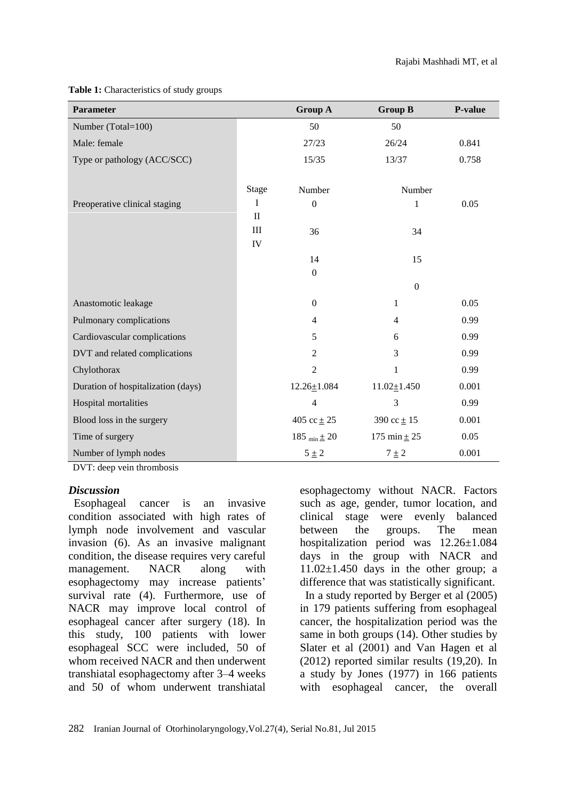| <b>Parameter</b>                   |                           | <b>Group A</b>      | <b>Group B</b>    | P-value |
|------------------------------------|---------------------------|---------------------|-------------------|---------|
| Number (Total=100)                 |                           | 50                  | 50                |         |
| Male: female                       |                           | 27/23               | 26/24             | 0.841   |
| Type or pathology (ACC/SCC)        |                           | 15/35               | 13/37             | 0.758   |
|                                    | <b>Stage</b>              | Number              | Number            |         |
| Preoperative clinical staging      | I                         | $\boldsymbol{0}$    | 1                 | 0.05    |
|                                    | $\mathbf{I}$<br>III<br>IV | 36                  | 34                |         |
|                                    |                           | 14                  | 15                |         |
|                                    |                           | $\boldsymbol{0}$    |                   |         |
|                                    |                           |                     | $\overline{0}$    |         |
| Anastomotic leakage                |                           | $\boldsymbol{0}$    | $\mathbf{1}$      | 0.05    |
| Pulmonary complications            |                           | 4                   | 4                 | 0.99    |
| Cardiovascular complications       |                           | 5                   | 6                 | 0.99    |
| DVT and related complications      |                           | $\overline{2}$      | 3                 | 0.99    |
| Chylothorax                        |                           | $\overline{2}$      | 1                 | 0.99    |
| Duration of hospitalization (days) |                           | $12.26 \pm 1.084$   | $11.02 \pm 1.450$ | 0.001   |
| Hospital mortalities               |                           | $\overline{4}$      | 3                 | 0.99    |
| Blood loss in the surgery          |                           | 405 cc $\pm 25$     | 390 cc $\pm$ 15   | 0.001   |
| Time of surgery                    |                           | 185 $_{min} \pm 20$ | 175 min $\pm 25$  | 0.05    |
| Number of lymph nodes              |                           | $5 \pm 2$           | $7 \pm 2$         | 0.001   |

### **Table 1:** Characteristics of study groups

DVT: deep vein thrombosis

### *Discussion*

Esophageal cancer is an invasive condition associated with high rates of lymph node involvement and vascular invasion (6). As an invasive malignant condition, the disease requires very careful management. NACR along with esophagectomy may increase patients' survival rate (4). Furthermore, use of NACR may improve local control of esophageal cancer after surgery (18). In this study, 100 patients with lower esophageal SCC were included, 50 of whom received NACR and then underwent transhiatal esophagectomy after 3–4 weeks and 50 of whom underwent transhiatal

esophagectomy without NACR. Factors such as age, gender, tumor location, and clinical stage were evenly balanced between the groups. The mean hospitalization period was 12.26±1.084 days in the group with NACR and  $11.02\pm1.450$  days in the other group; a difference that was statistically significant.

In a study reported by Berger et al (2005) in 179 patients suffering from esophageal cancer, the hospitalization period was the same in both groups (14). Other studies by Slater et al (2001) and Van Hagen et al (2012) reported similar results (19,20). In a study by Jones (1977) in 166 patients with esophageal cancer, the overall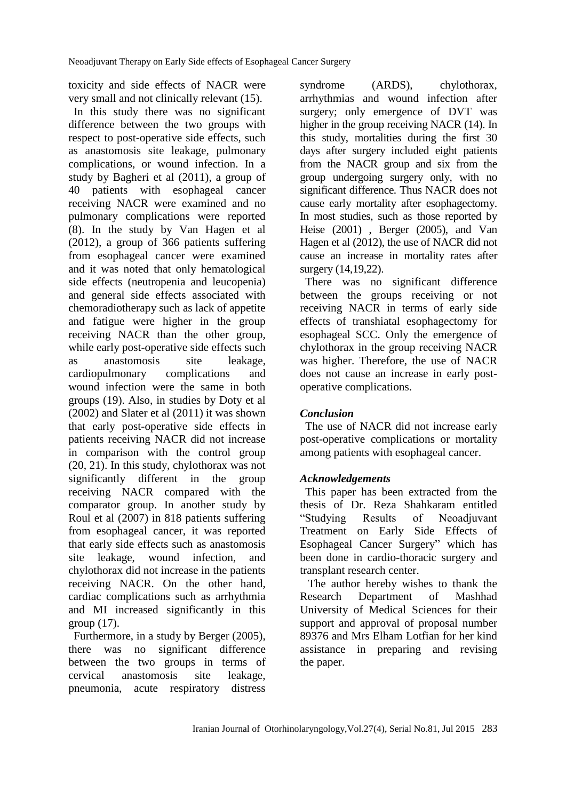toxicity and side effects of NACR were very small and not clinically relevant (15).

In this study there was no significant difference between the two groups with respect to post-operative side effects, such as anastomosis site leakage, pulmonary complications, or wound infection. In a study by Bagheri et al (2011), a group of 40 patients with esophageal cancer receiving NACR were examined and no pulmonary complications were reported (8). In the study by Van Hagen et al (2012), a group of 366 patients suffering from esophageal cancer were examined and it was noted that only hematological side effects (neutropenia and leucopenia) and general side effects associated with chemoradiotherapy such as lack of appetite and fatigue were higher in the group receiving NACR than the other group, while early post-operative side effects such as anastomosis site leakage, cardiopulmonary complications and wound infection were the same in both groups (19). Also, in studies by Doty et al (2002) and Slater et al (2011) it was shown that early post-operative side effects in patients receiving NACR did not increase in comparison with the control group (20, 21). In this study, chylothorax was not significantly different in the group receiving NACR compared with the comparator group. In another study by Roul et al (2007) in 818 patients suffering from esophageal cancer, it was reported that early side effects such as anastomosis site leakage, wound infection, and chylothorax did not increase in the patients receiving NACR. On the other hand, cardiac complications such as arrhythmia and MI increased significantly in this group (17).

Furthermore, in a study by Berger (2005), there was no significant difference between the two groups in terms of cervical anastomosis site leakage, pneumonia, acute respiratory distress

syndrome (ARDS), chylothorax, arrhythmias and wound infection after surgery; only emergence of DVT was higher in the group receiving NACR (14). In this study, mortalities during the first 30 days after surgery included eight patients from the NACR group and six from the group undergoing surgery only, with no significant difference. Thus NACR does not cause early mortality after esophagectomy. In most studies, such as those reported by Heise (2001) , Berger (2005), and Van Hagen et al (2012), the use of NACR did not cause an increase in mortality rates after surgery (14,19,22).

There was no significant difference between the groups receiving or not receiving NACR in terms of early side effects of transhiatal esophagectomy for esophageal SCC. Only the emergence of chylothorax in the group receiving NACR was higher. Therefore, the use of NACR does not cause an increase in early postoperative complications.

### *Conclusion*

The use of NACR did not increase early post-operative complications or mortality among patients with esophageal cancer.

### *Acknowledgements*

This paper has been extracted from the thesis of Dr. Reza Shahkaram entitled "Studying Results of Neoadjuvant Treatment on Early Side Effects of Esophageal Cancer Surgery" which has been done in cardio-thoracic surgery and transplant research center.

The author hereby wishes to thank the Research Department of Mashhad University of Medical Sciences for their support and approval of proposal number 89376 and Mrs Elham Lotfian for her kind assistance in preparing and revising the paper.